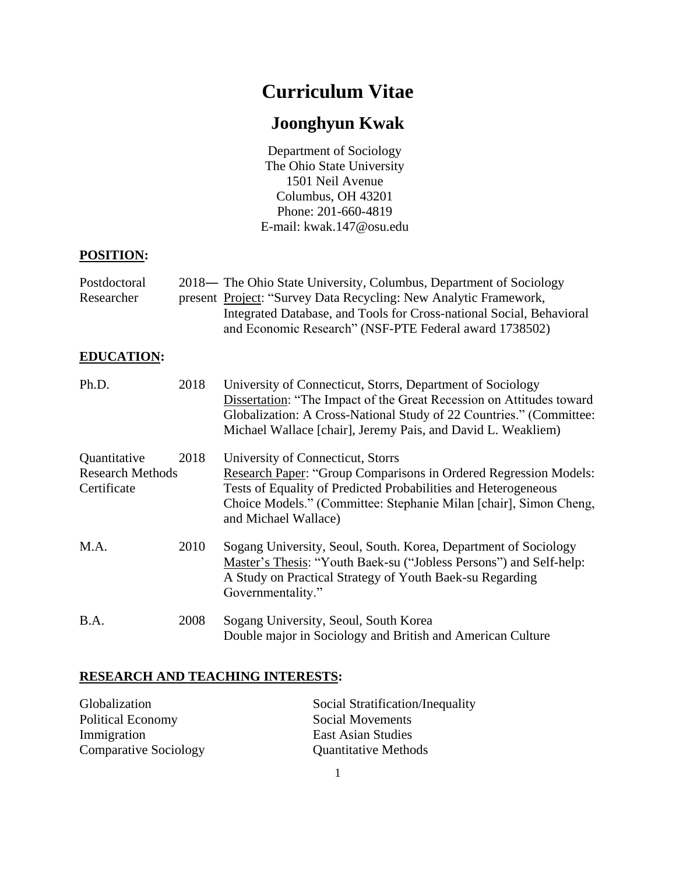# **Curriculum Vitae**

# **Joonghyun Kwak**

Department of Sociology The Ohio State University 1501 Neil Avenue Columbus, OH 43201 Phone: 201-660-4819 E-mail: kwak.147@osu.edu

## **POSITION:**

| Postdoctoral | 2018— The Ohio State University, Columbus, Department of Sociology   |
|--------------|----------------------------------------------------------------------|
| Researcher   | present Project: "Survey Data Recycling: New Analytic Framework,     |
|              | Integrated Database, and Tools for Cross-national Social, Behavioral |
|              | and Economic Research" (NSF-PTE Federal award 1738502)               |

## **EDUCATION:**

| Ph.D.                                                  | 2018 | University of Connecticut, Storrs, Department of Sociology<br>Dissertation: "The Impact of the Great Recession on Attitudes toward<br>Globalization: A Cross-National Study of 22 Countries." (Committee:<br>Michael Wallace [chair], Jeremy Pais, and David L. Weakliem)   |
|--------------------------------------------------------|------|-----------------------------------------------------------------------------------------------------------------------------------------------------------------------------------------------------------------------------------------------------------------------------|
| Quantitative<br><b>Research Methods</b><br>Certificate | 2018 | University of Connecticut, Storrs<br><b>Research Paper: "Group Comparisons in Ordered Regression Models:</b><br>Tests of Equality of Predicted Probabilities and Heterogeneous<br>Choice Models." (Committee: Stephanie Milan [chair], Simon Cheng,<br>and Michael Wallace) |
| M.A.                                                   | 2010 | Sogang University, Seoul, South. Korea, Department of Sociology<br>Master's Thesis: "Youth Baek-su ("Jobless Persons") and Self-help:<br>A Study on Practical Strategy of Youth Baek-su Regarding<br>Governmentality."                                                      |
| B.A.                                                   | 2008 | Sogang University, Seoul, South Korea<br>Double major in Sociology and British and American Culture                                                                                                                                                                         |

# **RESEARCH AND TEACHING INTERESTS:**

| Globalization                | Social Stratification/Inequality |
|------------------------------|----------------------------------|
| Political Economy            | Social Movements                 |
| Immigration                  | <b>East Asian Studies</b>        |
| <b>Comparative Sociology</b> | <b>Quantitative Methods</b>      |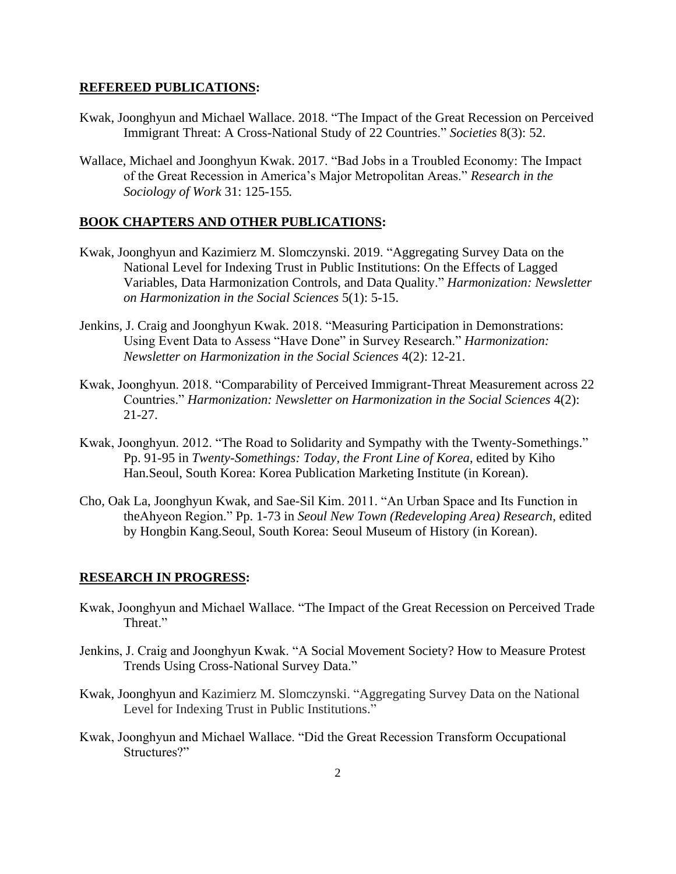#### **REFEREED PUBLICATIONS:**

- Kwak, Joonghyun and Michael Wallace. 2018. "The Impact of the Great Recession on Perceived Immigrant Threat: A Cross-National Study of 22 Countries." *Societies* 8(3): 52.
- Wallace, Michael and Joonghyun Kwak. 2017. "Bad Jobs in a Troubled Economy: The Impact of the Great Recession in America's Major Metropolitan Areas." *Research in the Sociology of Work* 31: 125-155*.*

#### **BOOK CHAPTERS AND OTHER PUBLICATIONS:**

- Kwak, Joonghyun and Kazimierz M. Slomczynski. 2019. "Aggregating Survey Data on the National Level for Indexing Trust in Public Institutions: On the Effects of Lagged Variables, Data Harmonization Controls, and Data Quality." *Harmonization: Newsletter on Harmonization in the Social Sciences* 5(1): 5-15.
- Jenkins, J. Craig and Joonghyun Kwak. 2018. "Measuring Participation in Demonstrations: Using Event Data to Assess "Have Done" in Survey Research." *Harmonization: Newsletter on Harmonization in the Social Sciences* 4(2): 12-21.
- Kwak, Joonghyun. 2018. "Comparability of Perceived Immigrant-Threat Measurement across 22 Countries." *Harmonization: Newsletter on Harmonization in the Social Sciences* 4(2): 21-27.
- Kwak, Joonghyun. 2012. "The Road to Solidarity and Sympathy with the Twenty-Somethings." Pp. 91-95 in *Twenty-Somethings: Today, the Front Line of Korea*, edited by Kiho Han.Seoul, South Korea: Korea Publication Marketing Institute (in Korean).
- Cho, Oak La, Joonghyun Kwak, and Sae-Sil Kim. 2011. "An Urban Space and Its Function in theAhyeon Region." Pp. 1-73 in *Seoul New Town (Redeveloping Area) Research*, edited by Hongbin Kang.Seoul, South Korea: Seoul Museum of History (in Korean).

#### **RESEARCH IN PROGRESS:**

- Kwak, Joonghyun and Michael Wallace. "The Impact of the Great Recession on Perceived Trade Threat."
- Jenkins, J. Craig and Joonghyun Kwak. "A Social Movement Society? How to Measure Protest Trends Using Cross-National Survey Data."
- Kwak, Joonghyun and Kazimierz M. Slomczynski. "Aggregating Survey Data on the National Level for Indexing Trust in Public Institutions."
- Kwak, Joonghyun and Michael Wallace. "Did the Great Recession Transform Occupational Structures?"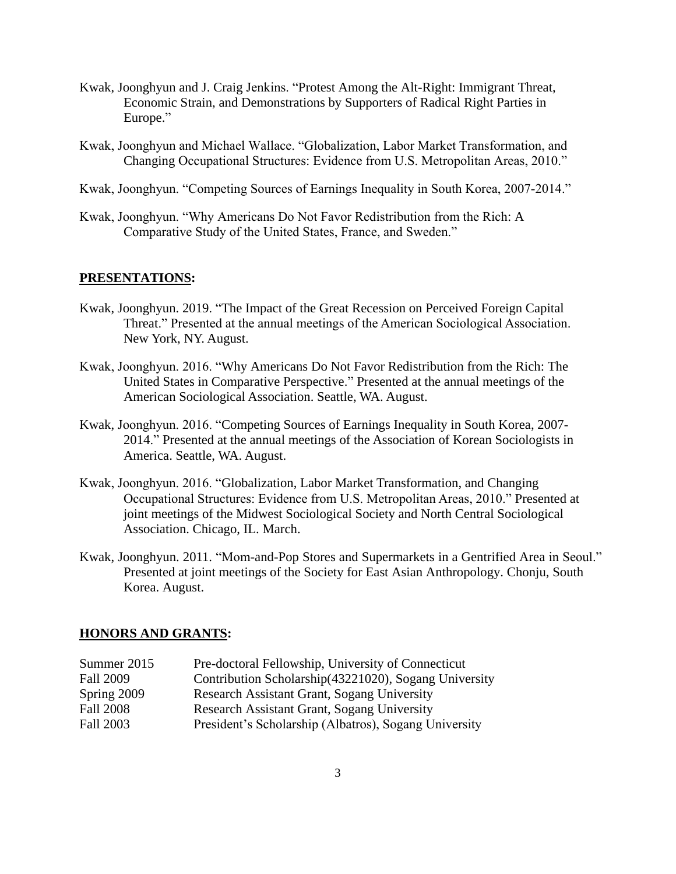- Kwak, Joonghyun and J. Craig Jenkins. "Protest Among the Alt-Right: Immigrant Threat, Economic Strain, and Demonstrations by Supporters of Radical Right Parties in Europe."
- Kwak, Joonghyun and Michael Wallace. "Globalization, Labor Market Transformation, and Changing Occupational Structures: Evidence from U.S. Metropolitan Areas, 2010."
- Kwak, Joonghyun. "Competing Sources of Earnings Inequality in South Korea, 2007-2014."
- Kwak, Joonghyun. "Why Americans Do Not Favor Redistribution from the Rich: A Comparative Study of the United States, France, and Sweden."

#### **PRESENTATIONS:**

- Kwak, Joonghyun. 2019. "The Impact of the Great Recession on Perceived Foreign Capital Threat." Presented at the annual meetings of the American Sociological Association. New York, NY. August.
- Kwak, Joonghyun. 2016. "Why Americans Do Not Favor Redistribution from the Rich: The United States in Comparative Perspective." Presented at the annual meetings of the American Sociological Association. Seattle, WA. August.
- Kwak, Joonghyun. 2016. "Competing Sources of Earnings Inequality in South Korea, 2007- 2014." Presented at the annual meetings of the Association of Korean Sociologists in America. Seattle, WA. August.
- Kwak, Joonghyun. 2016. "Globalization, Labor Market Transformation, and Changing Occupational Structures: Evidence from U.S. Metropolitan Areas, 2010." Presented at joint meetings of the Midwest Sociological Society and North Central Sociological Association. Chicago, IL. March.
- Kwak, Joonghyun. 2011. "Mom-and-Pop Stores and Supermarkets in a Gentrified Area in Seoul." Presented at joint meetings of the Society for East Asian Anthropology. Chonju, South Korea. August.

#### **HONORS AND GRANTS:**

| Pre-doctoral Fellowship, University of Connecticut     |
|--------------------------------------------------------|
| Contribution Scholarship (43221020), Sogang University |
| Research Assistant Grant, Sogang University            |
| Research Assistant Grant, Sogang University            |
| President's Scholarship (Albatros), Sogang University  |
|                                                        |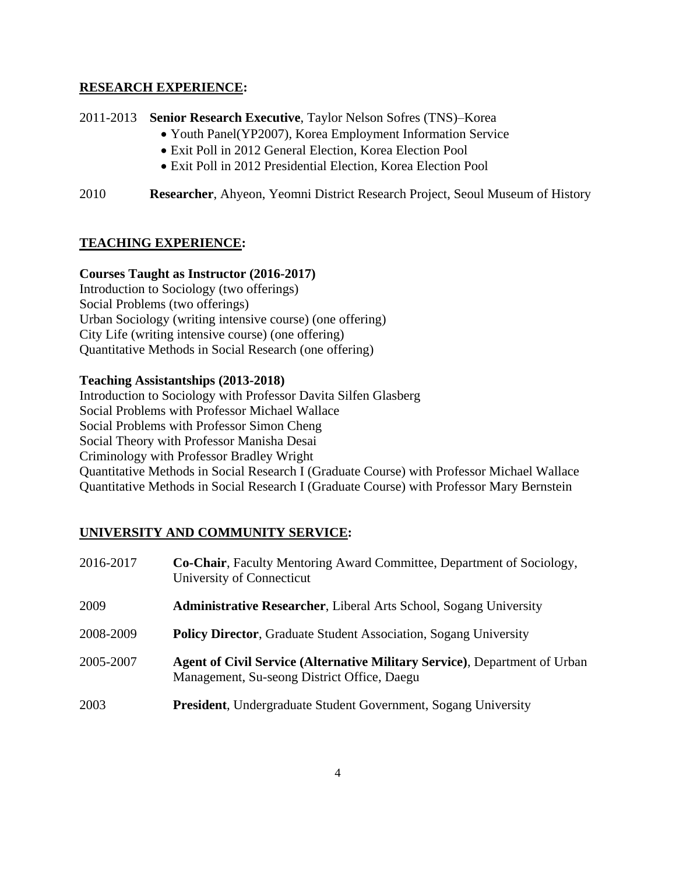### **RESEARCH EXPERIENCE:**

2011-2013 **Senior Research Executive**, Taylor Nelson Sofres (TNS)–Korea

- Youth Panel(YP2007), Korea Employment Information Service
- Exit Poll in 2012 General Election, Korea Election Pool
- Exit Poll in 2012 Presidential Election, Korea Election Pool
- 2010 **Researcher**, Ahyeon, Yeomni District Research Project, Seoul Museum of History

## **TEACHING EXPERIENCE:**

## **Courses Taught as Instructor (2016-2017)**

Introduction to Sociology (two offerings) Social Problems (two offerings) Urban Sociology (writing intensive course) (one offering) City Life (writing intensive course) (one offering) Quantitative Methods in Social Research (one offering)

## **Teaching Assistantships (2013-2018)**

Introduction to Sociology with Professor Davita Silfen Glasberg Social Problems with Professor Michael Wallace Social Problems with Professor Simon Cheng Social Theory with Professor Manisha Desai Criminology with Professor Bradley Wright Quantitative Methods in Social Research I (Graduate Course) with Professor Michael Wallace Quantitative Methods in Social Research I (Graduate Course) with Professor Mary Bernstein

# **UNIVERSITY AND COMMUNITY SERVICE:**

| 2016-2017 | <b>Co-Chair</b> , Faculty Mentoring Award Committee, Department of Sociology,<br>University of Connecticut                |
|-----------|---------------------------------------------------------------------------------------------------------------------------|
| 2009      | <b>Administrative Researcher, Liberal Arts School, Sogang University</b>                                                  |
| 2008-2009 | <b>Policy Director, Graduate Student Association, Sogang University</b>                                                   |
| 2005-2007 | Agent of Civil Service (Alternative Military Service), Department of Urban<br>Management, Su-seong District Office, Daegu |
| 2003      | <b>President, Undergraduate Student Government, Sogang University</b>                                                     |